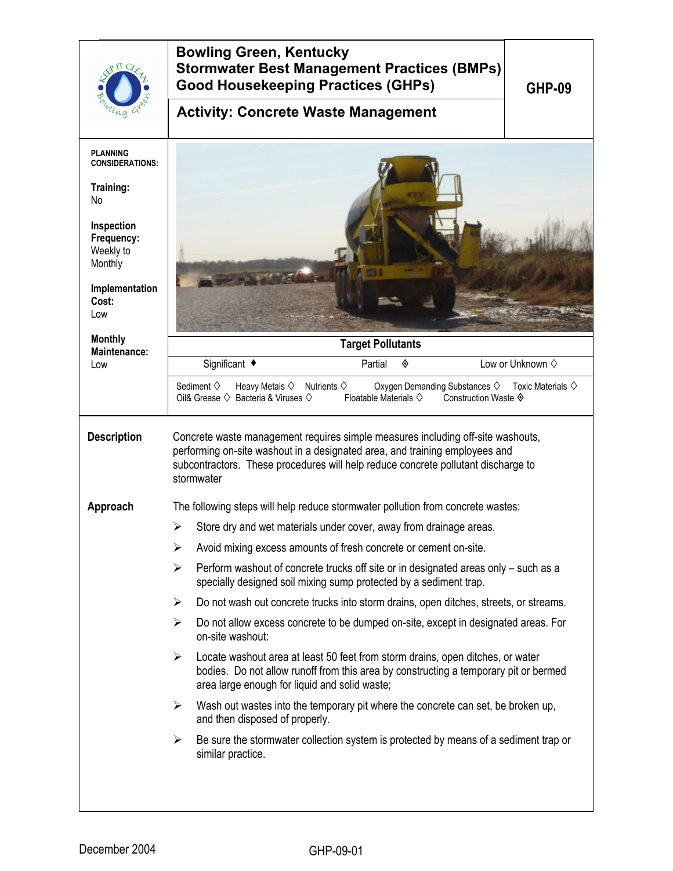|                                                                                                                                                                      | <b>Bowling Green, Kentucky</b><br><b>Stormwater Best Management Practices (BMPs)</b><br><b>Good Housekeeping Practices (GHPs)</b><br><b>Activity: Concrete Waste Management</b>                                                                                   | <b>GHP-09</b>                  |  |  |
|----------------------------------------------------------------------------------------------------------------------------------------------------------------------|-------------------------------------------------------------------------------------------------------------------------------------------------------------------------------------------------------------------------------------------------------------------|--------------------------------|--|--|
| <b>PLANNING</b><br><b>CONSIDERATIONS:</b><br>Training:<br>No<br>Inspection<br>Frequency:<br>Weekly to<br>Monthly<br>Implementation<br>Cost:<br>Low<br><b>Monthly</b> |                                                                                                                                                                                                                                                                   |                                |  |  |
| Maintenance:                                                                                                                                                         | <b>Target Pollutants</b><br>Significant ♦<br>Partial<br>◈                                                                                                                                                                                                         | Low or Unknown $\diamond$      |  |  |
| Low                                                                                                                                                                  | Sediment $\diamond$<br>Oxygen Demanding Substances ♦<br>Heavy Metals $\diamondsuit$<br>Nutrients $\diamondsuit$<br>Oil& Grease $\diamondsuit$ Bacteria & Viruses $\diamondsuit$<br>Floatable Materials $\diamondsuit$<br>Construction Waste ♦                     | Toxic Materials $\diamondsuit$ |  |  |
| <b>Description</b>                                                                                                                                                   | Concrete waste management requires simple measures including off-site washouts,<br>performing on-site washout in a designated area, and training employees and<br>subcontractors. These procedures will help reduce concrete pollutant discharge to<br>stormwater |                                |  |  |
| Approach                                                                                                                                                             | The following steps will help reduce stormwater pollution from concrete wastes:                                                                                                                                                                                   |                                |  |  |
|                                                                                                                                                                      | Store dry and wet materials under cover, away from drainage areas.<br>➤                                                                                                                                                                                           |                                |  |  |
|                                                                                                                                                                      |                                                                                                                                                                                                                                                                   |                                |  |  |
|                                                                                                                                                                      | Perform washout of concrete trucks off site or in designated areas only - such as a<br>≻<br>specially designed soil mixing sump protected by a sediment trap.                                                                                                     |                                |  |  |
|                                                                                                                                                                      | Do not wash out concrete trucks into storm drains, open ditches, streets, or streams.<br>➤                                                                                                                                                                        |                                |  |  |
|                                                                                                                                                                      | ➤<br>Do not allow excess concrete to be dumped on-site, except in designated areas. For<br>on-site washout:                                                                                                                                                       |                                |  |  |
|                                                                                                                                                                      | Locate washout area at least 50 feet from storm drains, open ditches, or water<br>➤<br>bodies. Do not allow runoff from this area by constructing a temporary pit or bermed<br>area large enough for liquid and solid waste;                                      |                                |  |  |
|                                                                                                                                                                      | Wash out wastes into the temporary pit where the concrete can set, be broken up,<br>$\blacktriangleright$<br>and then disposed of properly.                                                                                                                       |                                |  |  |
|                                                                                                                                                                      | Be sure the stormwater collection system is protected by means of a sediment trap or<br>➤<br>similar practice.                                                                                                                                                    |                                |  |  |
|                                                                                                                                                                      |                                                                                                                                                                                                                                                                   |                                |  |  |